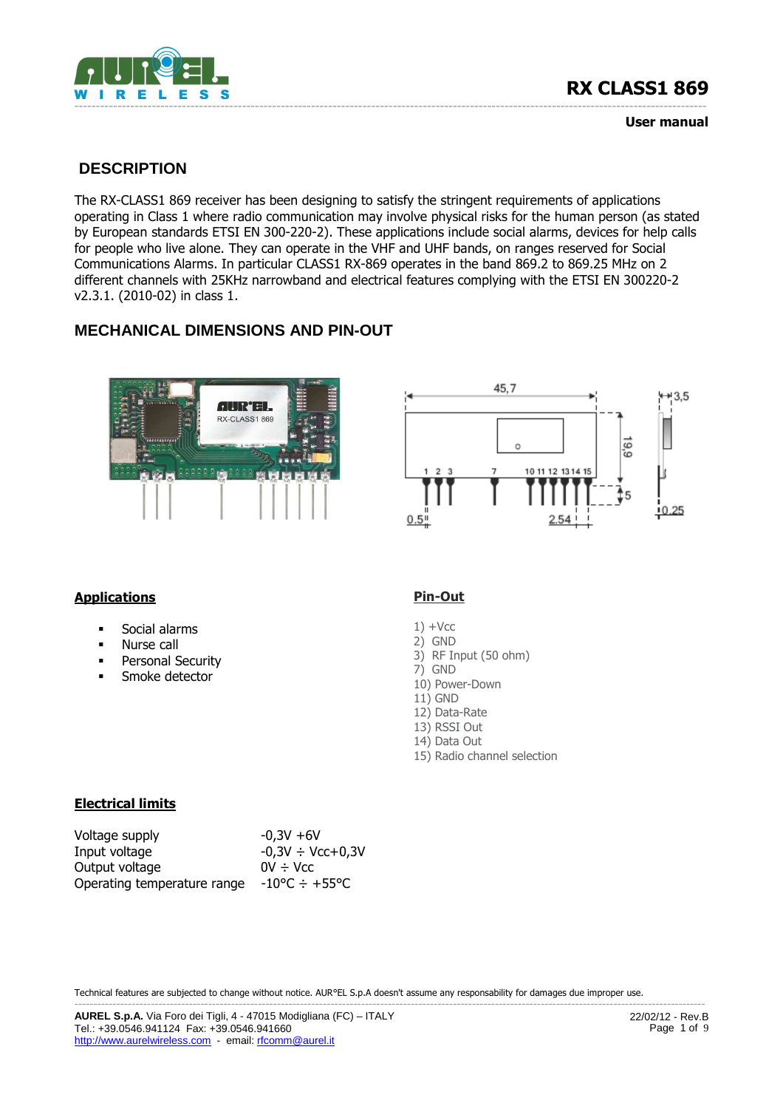

**User manual**

# **DESCRIPTION**

The RX-CLASS1 869 receiver has been designing to satisfy the stringent requirements of applications operating in Class 1 where radio communication may involve physical risks for the human person (as stated by European standards ETSI EN 300-220-2). These applications include social alarms, devices for help calls for people who live alone. They can operate in the VHF and UHF bands, on ranges reserved for Social Communications Alarms. In particular CLASS1 RX-869 operates in the band 869.2 to 869.25 MHz on 2 different channels with 25KHz narrowband and electrical features complying with the ETSI EN 300220-2 v2.3.1. (2010-02) in class 1.

# **MECHANICAL DIMENSIONS AND PIN-OUT**





### **Applications**

- **Social alarms**
- **Nurse call**
- **•** Personal Security
- Smoke detector

#### **Pin-Out**

- $1) +$ Vcc
- 2) GND
- 3) RF Input (50 ohm)
- 7) GND
- 10) Power-Down
- 11) GND
- 12) Data-Rate 13) RSSI Out
- 14) Data Out
- 15) Radio channel selection

#### **Electrical limits**

| Voltage supply              | $-0,3V +6V$                  |
|-----------------------------|------------------------------|
| Input voltage               | $-0,3V \div$ Vcc+0,3V        |
| Output voltage              | $0V + Vcc$                   |
| Operating temperature range | $-10^{\circ}$ C $\div$ +55°C |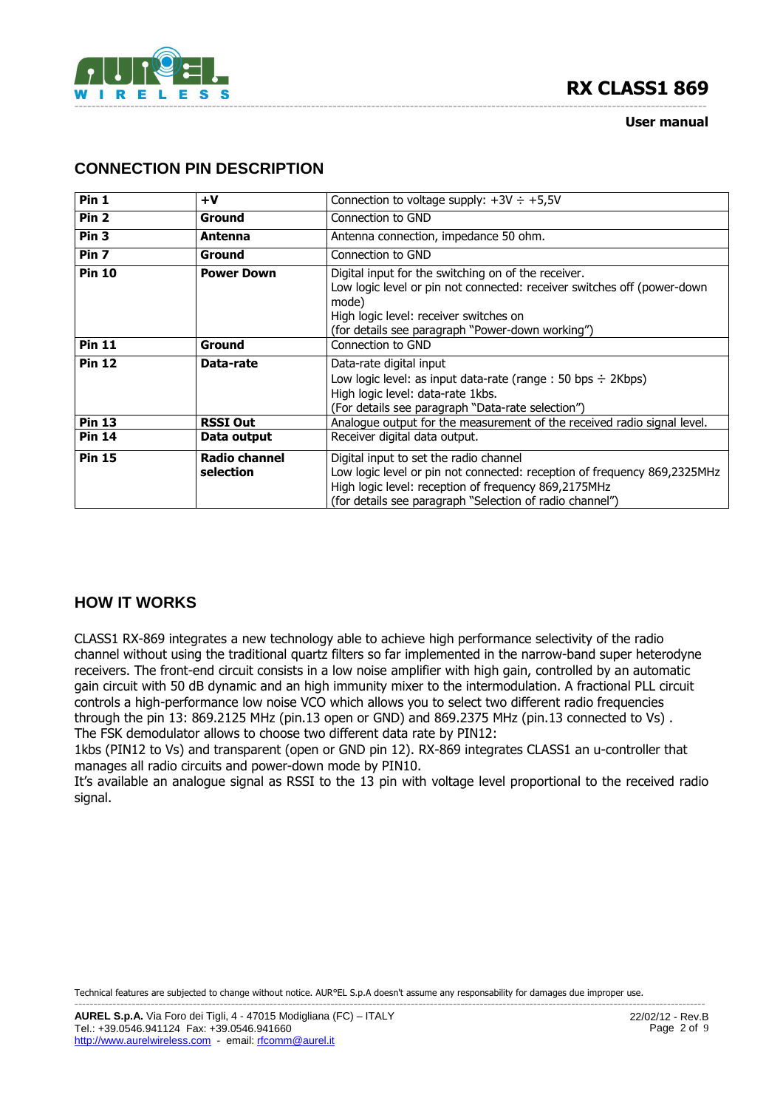



#### **User manual**

## **CONNECTION PIN DESCRIPTION**

| Pin 1            | $+V$                              | Connection to voltage supply: $+3V \div +5.5V$                                                                                                                                                                                         |  |
|------------------|-----------------------------------|----------------------------------------------------------------------------------------------------------------------------------------------------------------------------------------------------------------------------------------|--|
| Pin <sub>2</sub> | Ground                            | Connection to GND                                                                                                                                                                                                                      |  |
| Pin <sub>3</sub> | Antenna                           | Antenna connection, impedance 50 ohm.                                                                                                                                                                                                  |  |
| Pin <sub>7</sub> | Ground                            | Connection to GND                                                                                                                                                                                                                      |  |
| <b>Pin 10</b>    | <b>Power Down</b>                 | Digital input for the switching on of the receiver.<br>Low logic level or pin not connected: receiver switches off (power-down<br>mode)<br>High logic level: receiver switches on<br>(for details see paragraph "Power-down working")  |  |
| <b>Pin 11</b>    | Ground                            | Connection to GND                                                                                                                                                                                                                      |  |
| <b>Pin 12</b>    | Data-rate                         | Data-rate digital input<br>Low logic level: as input data-rate (range : 50 bps $\div$ 2Kbps)<br>High logic level: data-rate 1kbs.<br>(For details see paragraph "Data-rate selection")                                                 |  |
| <b>Pin 13</b>    | <b>RSSI Out</b>                   | Analogue output for the measurement of the received radio signal level.                                                                                                                                                                |  |
| <b>Pin 14</b>    | Data output                       | Receiver digital data output.                                                                                                                                                                                                          |  |
| <b>Pin 15</b>    | <b>Radio channel</b><br>selection | Digital input to set the radio channel<br>Low logic level or pin not connected: reception of frequency 869,2325MHz<br>High logic level: reception of frequency 869,2175MHz<br>(for details see paragraph "Selection of radio channel") |  |

### **HOW IT WORKS**

CLASS1 RX-869 integrates a new technology able to achieve high performance selectivity of the radio channel without using the traditional quartz filters so far implemented in the narrow-band super heterodyne receivers. The front-end circuit consists in a low noise amplifier with high gain, controlled by an automatic gain circuit with 50 dB dynamic and an high immunity mixer to the intermodulation. A fractional PLL circuit controls a high-performance low noise VCO which allows you to select two different radio frequencies through the pin 13: 869.2125 MHz (pin.13 open or GND) and 869.2375 MHz (pin.13 connected to Vs) . The FSK demodulator allows to choose two different data rate by PIN12:

1kbs (PIN12 to Vs) and transparent (open or GND pin 12). RX-869 integrates CLASS1 an u-controller that manages all radio circuits and power-down mode by PIN10.

It's available an analogue signal as RSSI to the 13 pin with voltage level proportional to the received radio signal.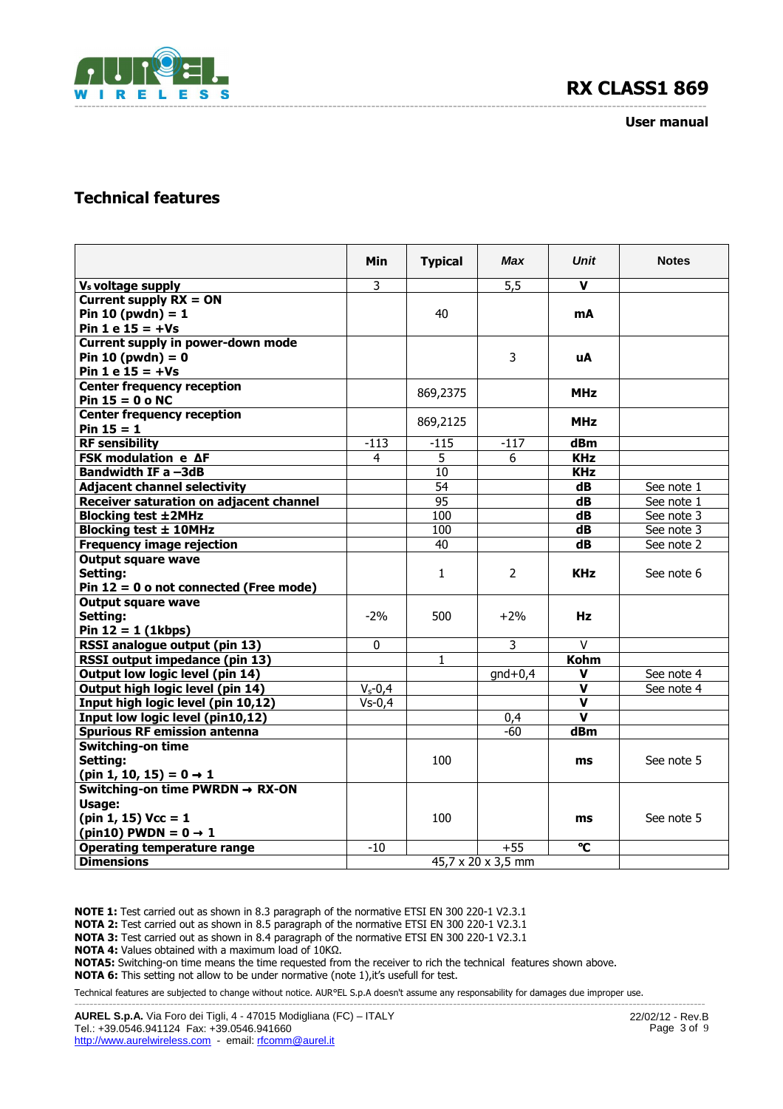

#### **User manual**

# **Technical features**

|                                             | Min                | <b>Typical</b>  | <b>Max</b> | <b>Unit</b> | <b>Notes</b> |
|---------------------------------------------|--------------------|-----------------|------------|-------------|--------------|
| V <sub>s</sub> voltage supply               | 3                  |                 | 5,5        | $\mathbf v$ |              |
| Current supply $RX = ON$                    |                    |                 |            |             |              |
| Pin 10 (pwdn) = $1$                         |                    | 40              |            | mA          |              |
| Pin $1 e 15 = +Vs$                          |                    |                 |            |             |              |
| Current supply in power-down mode           |                    |                 |            |             |              |
| Pin 10 (pwdn) = $0$                         |                    |                 | 3          | uA          |              |
| Pin $1 e 15 = +Vs$                          |                    |                 |            |             |              |
| <b>Center frequency reception</b>           |                    | 869,2375        |            | <b>MHz</b>  |              |
| Pin $15 = 0$ o NC                           |                    |                 |            |             |              |
| <b>Center frequency reception</b>           |                    | 869,2125        |            | <b>MHz</b>  |              |
| $Pin 15 = 1$                                |                    |                 |            |             |              |
| <b>RF</b> sensibility                       | $-113$             | $-115$          | $-117$     | dBm         |              |
| <b>FSK modulation e AF</b>                  | 4                  | 5               | 6          | <b>KHz</b>  |              |
| Bandwidth IF a -3dB                         |                    | 10              |            | <b>KHz</b>  |              |
| <b>Adjacent channel selectivity</b>         |                    | 54              |            | dB          | See note 1   |
| Receiver saturation on adjacent channel     |                    | $\overline{95}$ |            | dB          | See note 1   |
| <b>Blocking test ±2MHz</b>                  |                    | 100             |            | dB          | See note 3   |
| Blocking test ± 10MHz                       |                    | 100             |            | dB          | See note 3   |
| <b>Frequency image rejection</b>            |                    | 40              |            | dB          | See note 2   |
| <b>Output square wave</b>                   |                    |                 |            |             |              |
| Setting:                                    |                    | $\mathbf{1}$    | 2          | <b>KHz</b>  | See note 6   |
| Pin $12 = 0$ o not connected (Free mode)    |                    |                 |            |             |              |
| <b>Output square wave</b><br>Setting:       | $-2%$              | 500             | $+2%$      | Hz          |              |
| Pin $12 = 1$ (1kbps)                        |                    |                 |            |             |              |
| RSSI analogue output (pin 13)               | 0                  |                 | 3          | $\vee$      |              |
| RSSI output impedance (pin 13)              |                    | $\mathbf{1}$    |            | <b>Kohm</b> |              |
| Output low logic level (pin 14)             |                    |                 | $gnd+0,4$  | v           | See note 4   |
| Output high logic level (pin 14)            | $V_s - 0,4$        |                 |            | v           | See note 4   |
| Input high logic level (pin 10,12)          | $Vs-0,4$           |                 |            | $\mathbf v$ |              |
| Input low logic level (pin10,12)            |                    |                 | 0,4        | $\mathbf v$ |              |
| <b>Spurious RF emission antenna</b>         |                    |                 | -60        | dBm         |              |
| <b>Switching-on time</b>                    |                    |                 |            |             |              |
| Setting:                                    |                    | 100             |            | ms          | See note 5   |
| (pin 1, 10, 15) = $0 \rightarrow 1$         |                    |                 |            |             |              |
| Switching-on time PWRDN $\rightarrow$ RX-ON |                    |                 |            |             |              |
| Usage:                                      |                    |                 |            |             |              |
| $(pin 1, 15)$ Vcc = 1                       |                    | 100             |            | ms          | See note 5   |
| (pin10) PWDN = $0 \rightarrow 1$            |                    |                 |            |             |              |
| <b>Operating temperature range</b>          | -10                |                 | $+55$      | °C          |              |
| <b>Dimensions</b>                           | 45,7 x 20 x 3,5 mm |                 |            |             |              |

**NOTE 1:** Test carried out as shown in 8.3 paragraph of the normative ETSI EN 300 220-1 V2.3.1

**NOTA 2:** Test carried out as shown in 8.5 paragraph of the normative ETSI EN 300 220-1 V2.3.1

**NOTA 3:** Test carried out as shown in 8.4 paragraph of the normative ETSI EN 300 220-1 V2.3.1

**NOTA 4:** Values obtained with a maximum load of 10KΩ.

**NOTA5:** Switching-on time means the time requested from the receiver to rich the technical features shown above.

**NOTA 6:** This setting not allow to be under normative (note 1), it's usefull for test.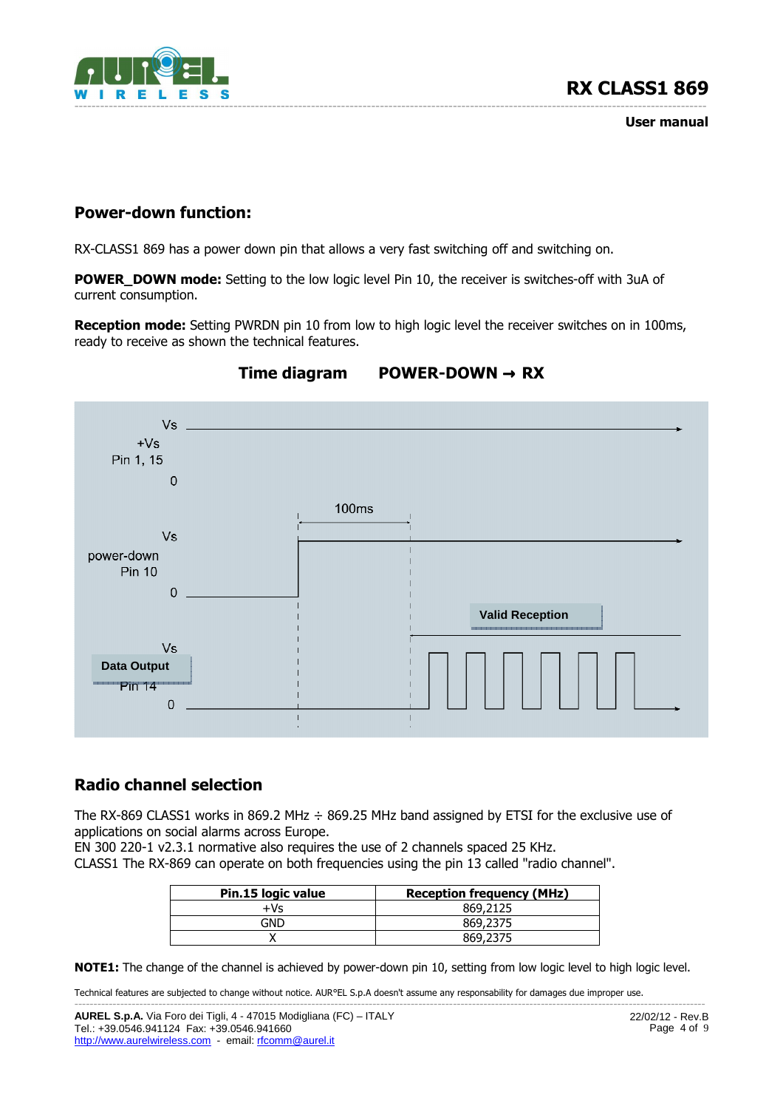

**User manual**

## **Power-down function:**

RX-CLASS1 869 has a power down pin that allows a very fast switching off and switching on.

**POWER\_DOWN mode:** Setting to the low logic level Pin 10, the receiver is switches-off with 3uA of current consumption.

**Reception mode:** Setting PWRDN pin 10 from low to high logic level the receiver switches on in 100ms, ready to receive as shown the technical features.



# **Time diagram POWER-DOWN** → **RX**

## **Radio channel selection**

The RX-869 CLASS1 works in 869.2 MHz  $\div$  869.25 MHz band assigned by ETSI for the exclusive use of applications on social alarms across Europe.

EN 300 220-1 v2.3.1 normative also requires the use of 2 channels spaced 25 KHz.

CLASS1 The RX-869 can operate on both frequencies using the pin 13 called "radio channel".

| Pin.15 logic value | <b>Reception frequency (MHz)</b> |
|--------------------|----------------------------------|
| $+Vs$              | 869,2125                         |
| GND                | 869,2375                         |
|                    | 869.2375                         |

**NOTE1:** The change of the channel is achieved by power-down pin 10, setting from low logic level to high logic level.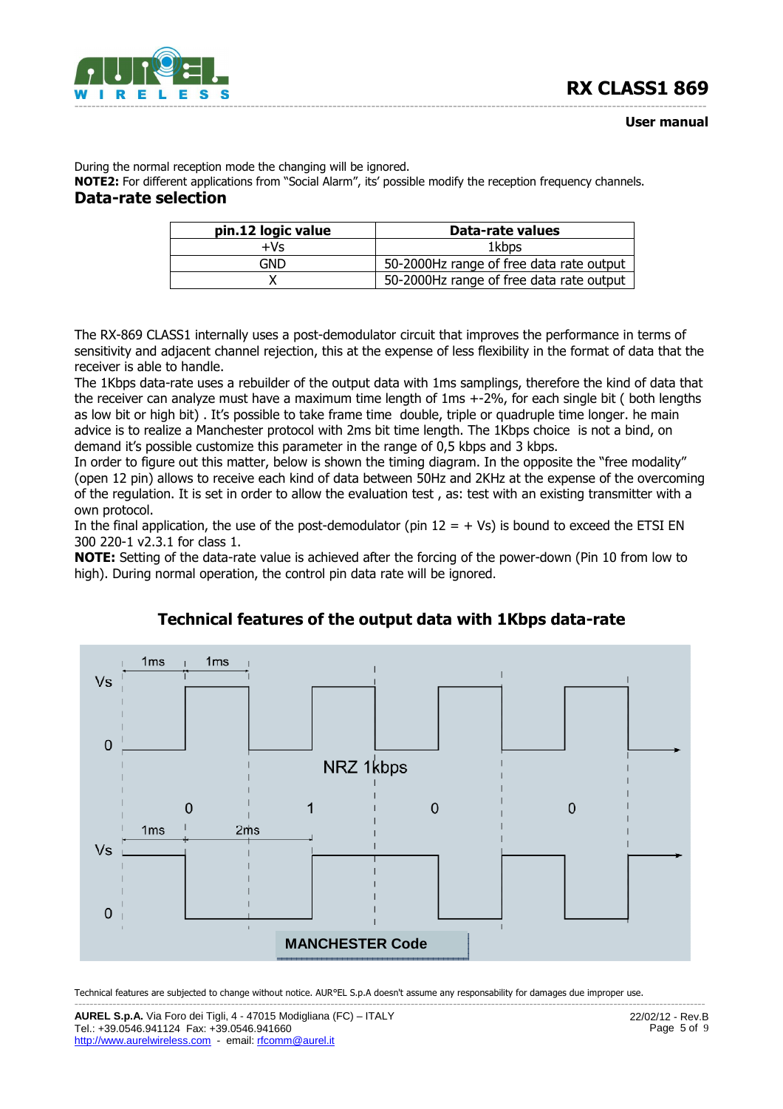

During the normal reception mode the changing will be ignored.

**NOTE2:** For different applications from "Social Alarm", its' possible modify the reception frequency channels. **Data-rate selection** 

| pin.12 logic value | Data-rate values                         |
|--------------------|------------------------------------------|
| $+Vs$              | 1kbps                                    |
| GND                | 50-2000Hz range of free data rate output |
|                    | 50-2000Hz range of free data rate output |

The RX-869 CLASS1 internally uses a post-demodulator circuit that improves the performance in terms of sensitivity and adjacent channel rejection, this at the expense of less flexibility in the format of data that the receiver is able to handle.

The 1Kbps data-rate uses a rebuilder of the output data with 1ms samplings, therefore the kind of data that the receiver can analyze must have a maximum time length of 1ms +-2%, for each single bit ( both lengths as low bit or high bit) . It's possible to take frame time double, triple or quadruple time longer. he main advice is to realize a Manchester protocol with 2ms bit time length. The 1Kbps choice is not a bind, on demand it's possible customize this parameter in the range of 0,5 kbps and 3 kbps.

In order to figure out this matter, below is shown the timing diagram. In the opposite the "free modality" (open 12 pin) allows to receive each kind of data between 50Hz and 2KHz at the expense of the overcoming of the regulation. It is set in order to allow the evaluation test , as: test with an existing transmitter with a own protocol.

In the final application, the use of the post-demodulator (pin  $12 = + Vs$ ) is bound to exceed the ETSI EN 300 220-1 v2.3.1 for class 1.

**NOTE:** Setting of the data-rate value is achieved after the forcing of the power-down (Pin 10 from low to high). During normal operation, the control pin data rate will be ignored.



### **Technical features of the output data with 1Kbps data-rate**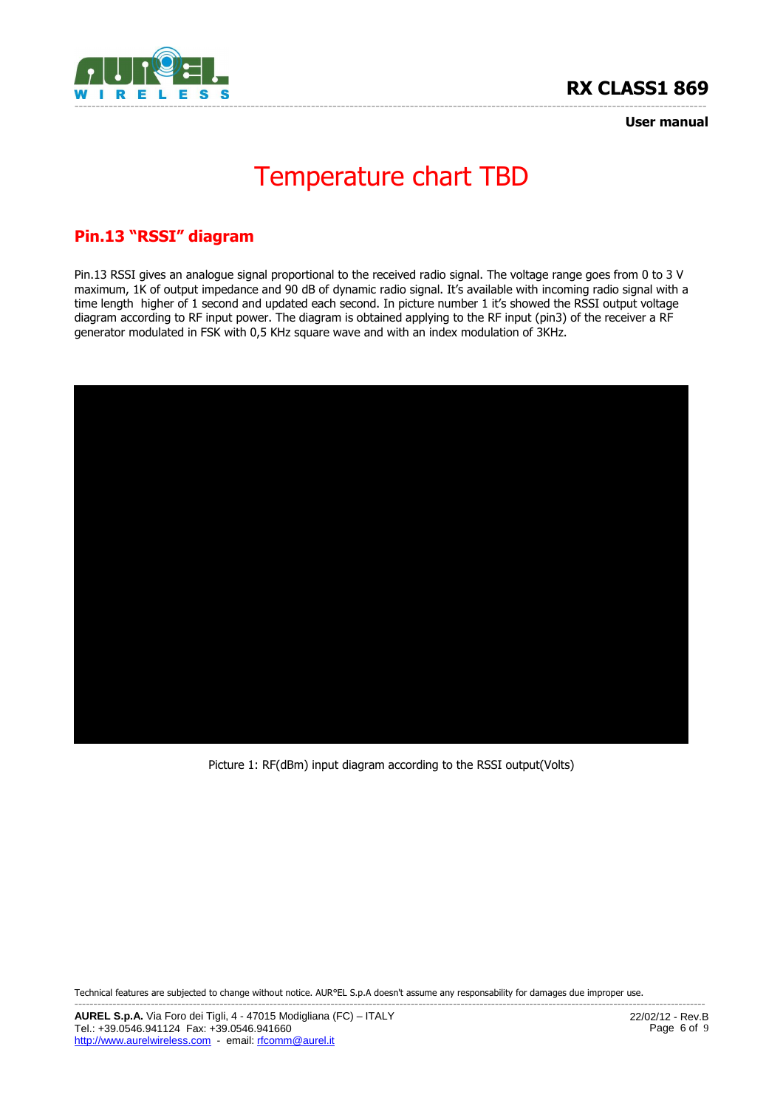



**User manual**

# Temperature chart TBD

# **Pin.13 "RSSI" diagram**

Pin.13 RSSI gives an analogue signal proportional to the received radio signal. The voltage range goes from 0 to 3 V maximum, 1K of output impedance and 90 dB of dynamic radio signal. It's available with incoming radio signal with a time length higher of 1 second and updated each second. In picture number 1 it's showed the RSSI output voltage diagram according to RF input power. The diagram is obtained applying to the RF input (pin3) of the receiver a RF generator modulated in FSK with 0,5 KHz square wave and with an index modulation of 3KHz.



Picture 1: RF(dBm) input diagram according to the RSSI output(Volts)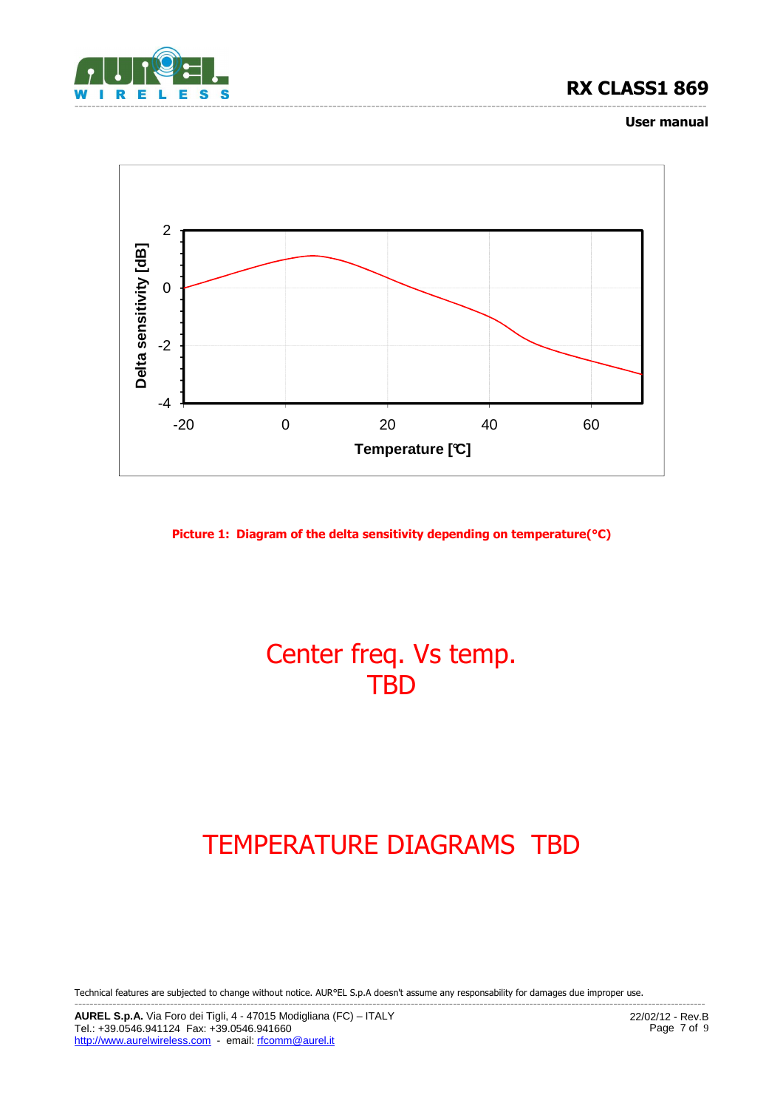

#### **User manual**



**Picture 1: Diagram of the delta sensitivity depending on temperature(°C)** 

# Center freq. Vs temp. **TBD**

# TEMPERATURE DIAGRAMS TBD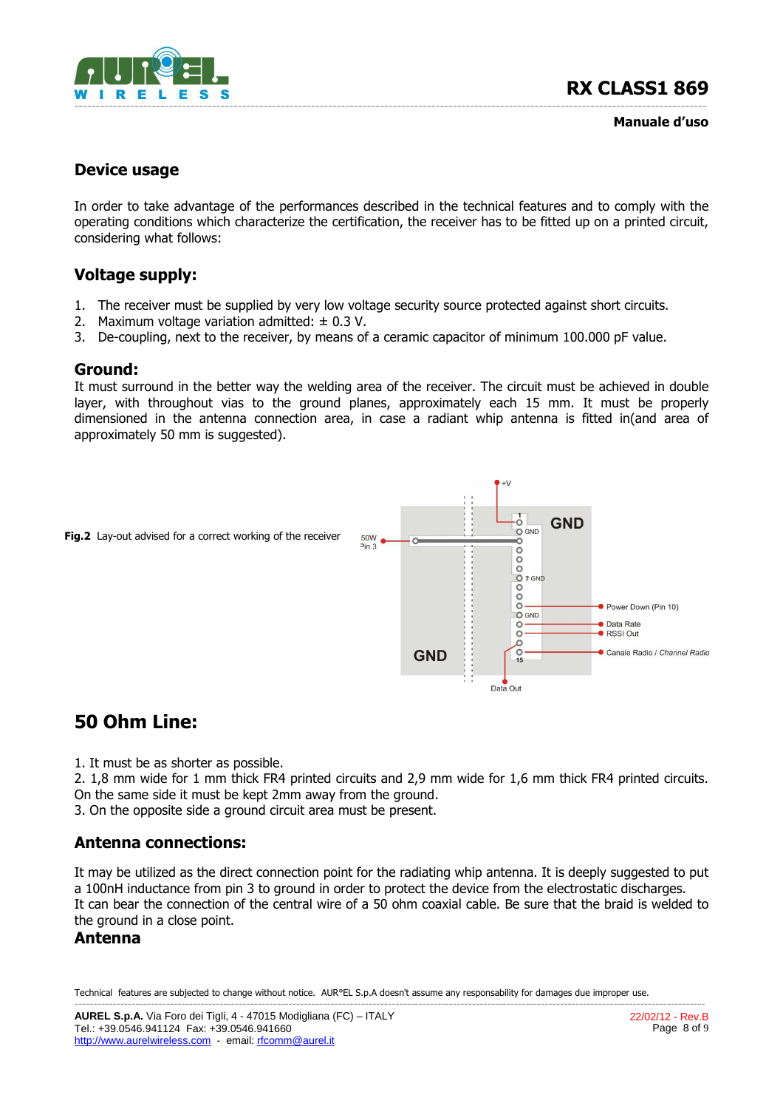

**Manuale d'uso**

### **Device usage**

In order to take advantage of the performances described in the technical features and to comply with the operating conditions which characterize the certification, the receiver has to be fitted up on a printed circuit, considering what follows:

# **Voltage supply:**

- 1. The receiver must be supplied by very low voltage security source protected against short circuits.
- 2. Maximum voltage variation admitted:  $\pm$  0.3 V.
- 3. De-coupling, next to the receiver, by means of a ceramic capacitor of minimum 100.000 pF value.

#### **Ground:**

It must surround in the better way the welding area of the receiver. The circuit must be achieved in double layer, with throughout vias to the ground planes, approximately each 15 mm. It must be properly dimensioned in the antenna connection area, in case a radiant whip antenna is fitted in(and area of approximately 50 mm is suggested).



# **50 Ohm Line:**

1. It must be as shorter as possible.

2. 1,8 mm wide for 1 mm thick FR4 printed circuits and 2,9 mm wide for 1,6 mm thick FR4 printed circuits. On the same side it must be kept 2mm away from the ground.

3. On the opposite side a ground circuit area must be present.

## **Antenna connections:**

It may be utilized as the direct connection point for the radiating whip antenna. It is deeply suggested to put a 100nH inductance from pin 3 to ground in order to protect the device from the electrostatic discharges. It can bear the connection of the central wire of a 50 ohm coaxial cable. Be sure that the braid is welded to the ground in a close point.

### **Antenna**

Technical features are subjected to change without notice. AUR°EL S.p.A doesn't assume any responsability for damages due improper use. ---------------------------------------------------------------------------------------------------------------------------------------------------------------------